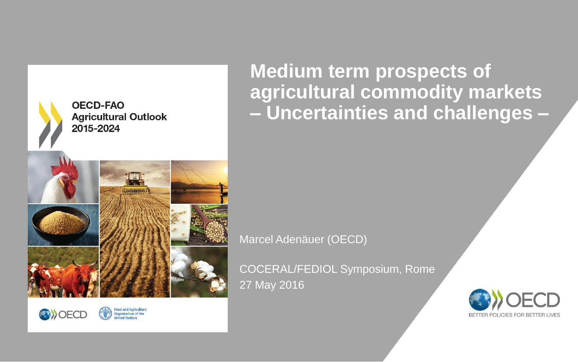



**Food and Agriculture<br>Organization of the<br>United Nations** 

**Medium term prospects of agricultural commodity markets – Uncertainties and challenges –**

Marcel Adenäuer (OECD)

COCERAL/FEDIOL Symposium, Rome 27 May 2016

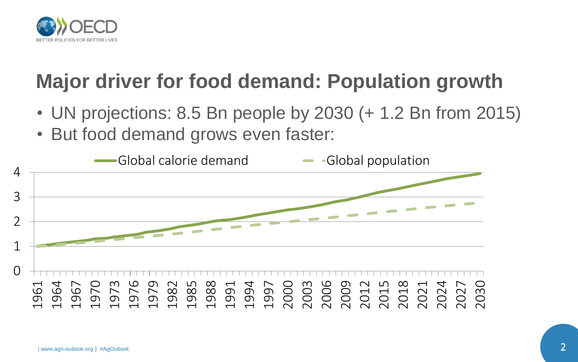

## **Major driver for food demand: Population growth**

- UN projections: 8.5 Bn people by 2030 (+ 1.2 Bn from 2015)
- But food demand grows even faster:

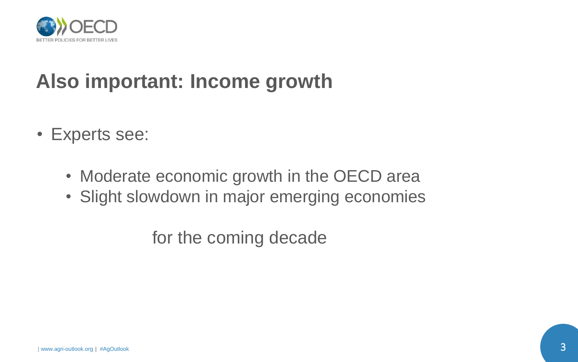

## **Also important: Income growth**

- Experts see:
	- Moderate economic growth in the OECD area
	- Slight slowdown in major emerging economies

for the coming decade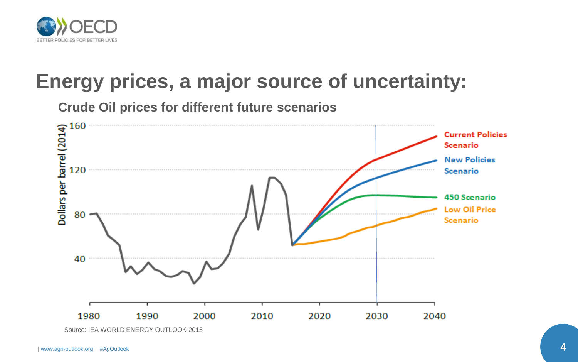

### **Energy prices, a major source of uncertainty:**

**Crude Oil prices for different future scenarios**



Source: IEA WORLD ENERGY OUTLOOK 2015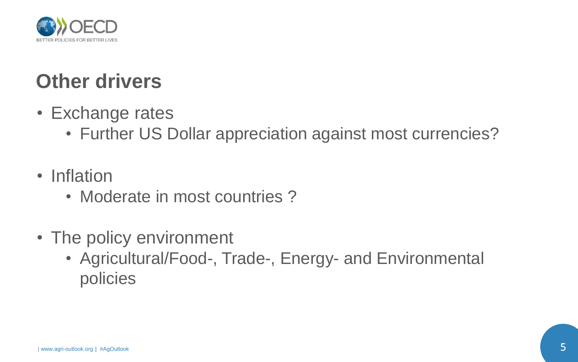

## **Other drivers**

- Exchange rates
	- Further US Dollar appreciation against most currencies?
- Inflation
	- Moderate in most countries?
- The policy environment
	- Agricultural/Food-, Trade-, Energy- and Environmental policies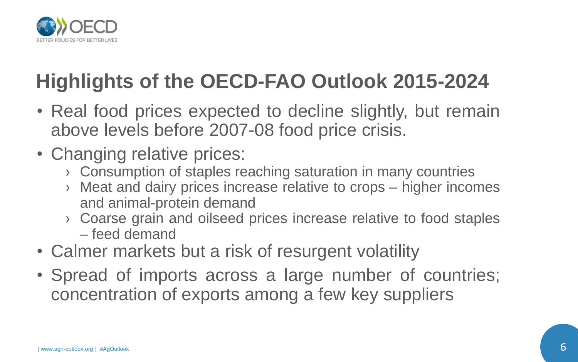

# **Highlights of the OECD-FAO Outlook 2015-2024**

- Real food prices expected to decline slightly, but remain above levels before 2007-08 food price crisis.
- Changing relative prices:
	- › Consumption of staples reaching saturation in many countries
	- › Meat and dairy prices increase relative to crops higher incomes and animal-protein demand
	- › Coarse grain and oilseed prices increase relative to food staples – feed demand
- Calmer markets but a risk of resurgent volatility
- Spread of imports across a large number of countries; concentration of exports among a few key suppliers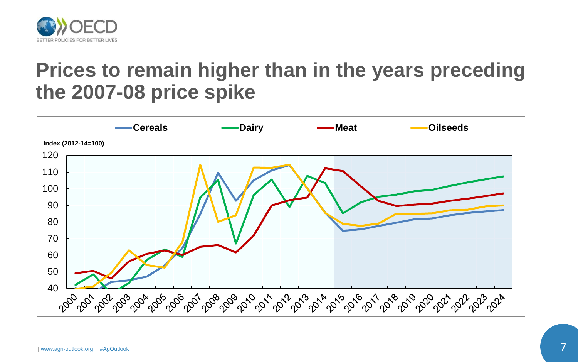

#### **Prices to remain higher than in the years preceding the 2007-08 price spike**

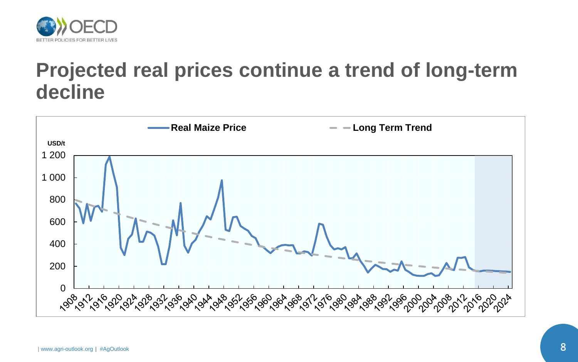

#### **Projected real prices continue a trend of long-term decline**

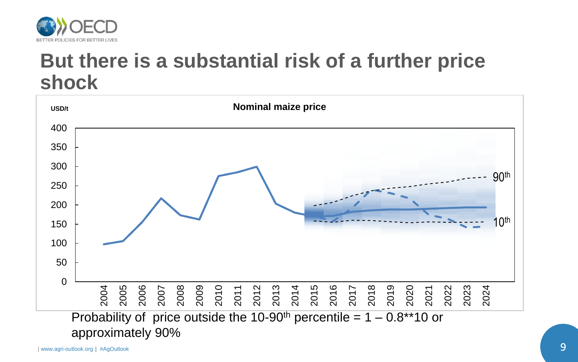

#### **But there is a substantial risk of a further price shock**

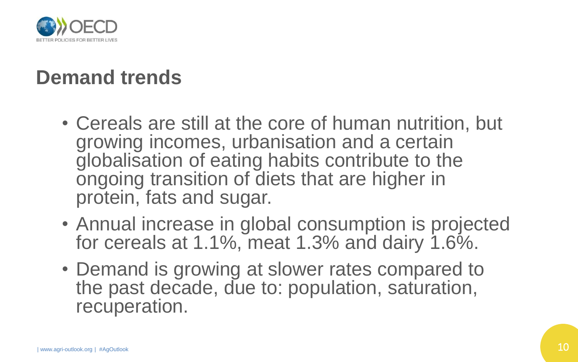

## **Demand trends**

- Cereals are still at the core of human nutrition, but growing incomes, urbanisation and a certain globalisation of eating habits contribute to the ongoing transition of diets that are higher in protein, fats and sugar.
- Annual increase in global consumption is projected for cereals at 1.1%, meat 1.3% and dairy 1.6%.
- Demand is growing at slower rates compared to the past decade, due to: population, saturation, recuperation.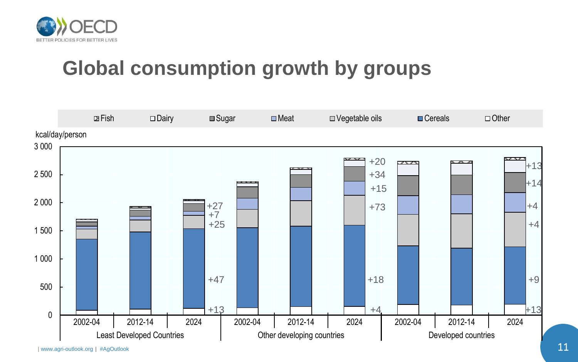

## **Global consumption growth by groups**

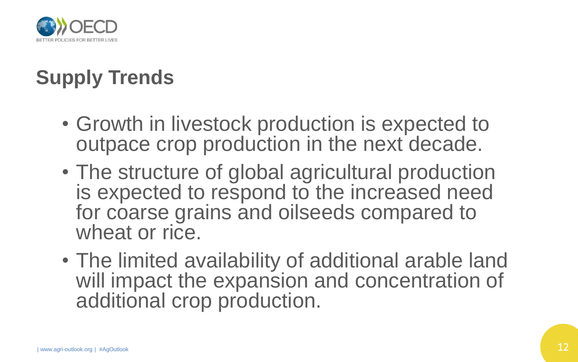

# **Supply Trends**

- Growth in livestock production is expected to outpace crop production in the next decade.
- The structure of global agricultural production is expected to respond to the increased need for coarse grains and oilseeds compared to wheat or rice.
- The limited availability of additional arable land will impact the expansion and concentration of additional crop production.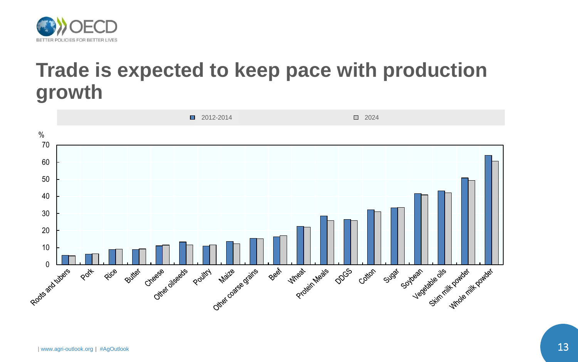

#### **Trade is expected to keep pace with production growth**

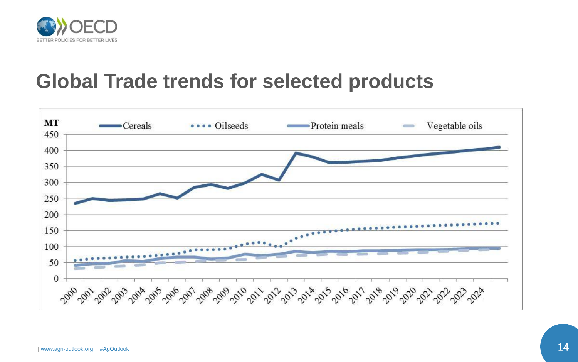

#### **Global Trade trends for selected products**

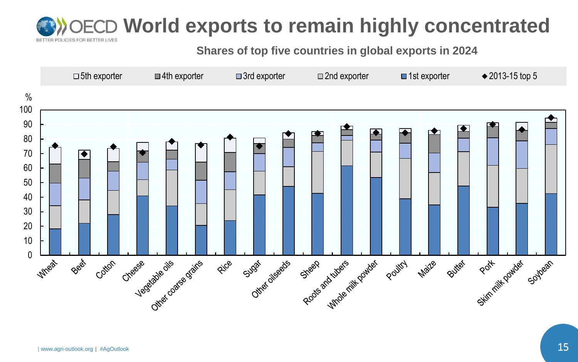#### **World exports to remain highly concentrated OLICIES FOR BETTER LIVES**

**Shares of top five countries in global exports in 2024**

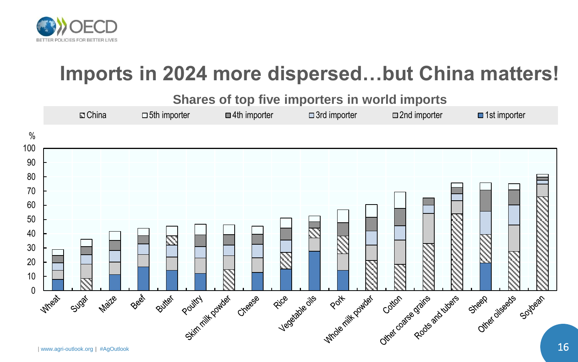

## **Imports in 2024 more dispersed…but China matters!**

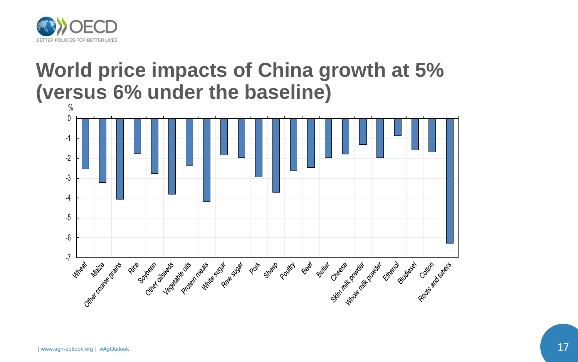

### **World price impacts of China growth at 5% (versus 6% under the baseline)**